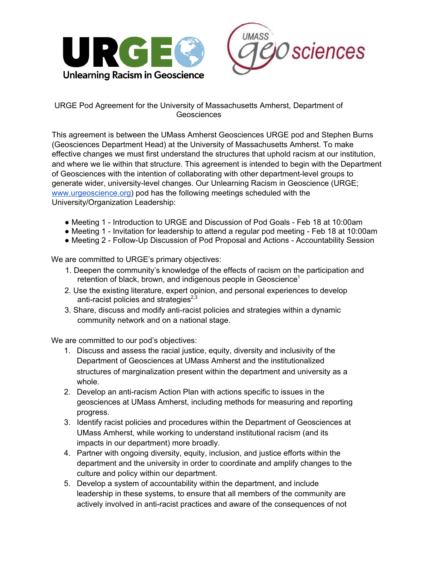



## URGE Pod Agreement for the University of Massachusetts Amherst, Department of **Geosciences**

This agreement is between the UMass Amherst Geosciences URGE pod and Stephen Burns (Geosciences Department Head) at the University of Massachusetts Amherst. To make effective changes we must first understand the structures that uphold racism at our institution, and where we lie within that structure. This agreement is intended to begin with the Department of Geosciences with the intention of collaborating with other department-level groups to generate wider, university-level changes. Our Unlearning Racism in Geoscience (URGE; www.urgeoscience.org) pod has the following meetings scheduled with the University/Organization Leadership:

- Meeting 1 Introduction to URGE and Discussion of Pod Goals Feb 18 at 10:00am
- Meeting 1 Invitation for leadership to attend a regular pod meeting Feb 18 at 10:00am
- Meeting 2 Follow-Up Discussion of Pod Proposal and Actions Accountability Session

We are committed to URGE's primary objectives:

- 1. Deepen the community's knowledge of the effects of racism on the participation and retention of black, brown, and indigenous people in Geoscience<sup>1</sup>
- 2. Use the existing literature, expert opinion, and personal experiences to develop anti-racist policies and strategies $^{2,3}$
- 3. Share, discuss and modify anti-racist policies and strategies within a dynamic community network and on a national stage.

We are committed to our pod's objectives:

- 1. Discuss and assess the racial justice, equity, diversity and inclusivity of the Department of Geosciences at UMass Amherst and the institutionalized structures of marginalization present within the department and university as a whole.
- 2. Develop an anti-racism Action Plan with actions specific to issues in the geosciences at UMass Amherst, including methods for measuring and reporting progress.
- 3. Identify racist policies and procedures within the Department of Geosciences at UMass Amherst, while working to understand institutional racism (and its impacts in our department) more broadly.
- 4. Partner with ongoing diversity, equity, inclusion, and justice efforts within the department and the university in order to coordinate and amplify changes to the culture and policy within our department.
- 5. Develop a system of accountability within the department, and include leadership in these systems, to ensure that all members of the community are actively involved in anti-racist practices and aware of the consequences of not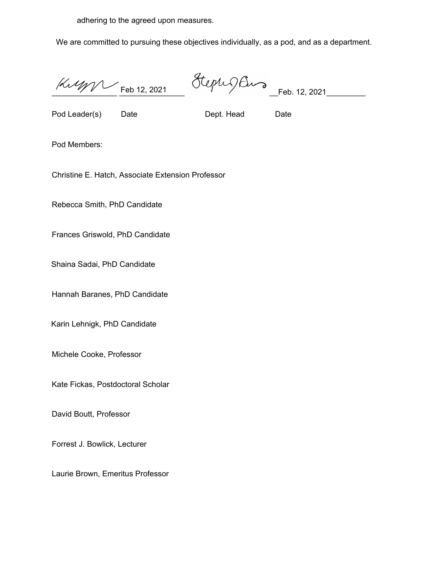adhering to the agreed upon measures.

We are committed to pursuing these objectives individually, as a pod, and as a department.

 $\frac{1}{2}$  Feb 12, 2021

 $Steph\,Qfho\sim\frac{F_{eb.}12, 2021$ 

Pod Leader(s) Date Dept. Head Date

Pod Members:

Christine E. Hatch, Associate Extension Professor

Rebecca Smith, PhD Candidate

Frances Griswold, PhD Candidate

Shaina Sadai, PhD Candidate

Hannah Baranes, PhD Candidate

Karin Lehnigk, PhD Candidate

Michele Cooke, Professor

Kate Fickas, Postdoctoral Scholar

David Boutt, Professor

Forrest J. Bowlick, Lecturer

Laurie Brown, Emeritus Professor